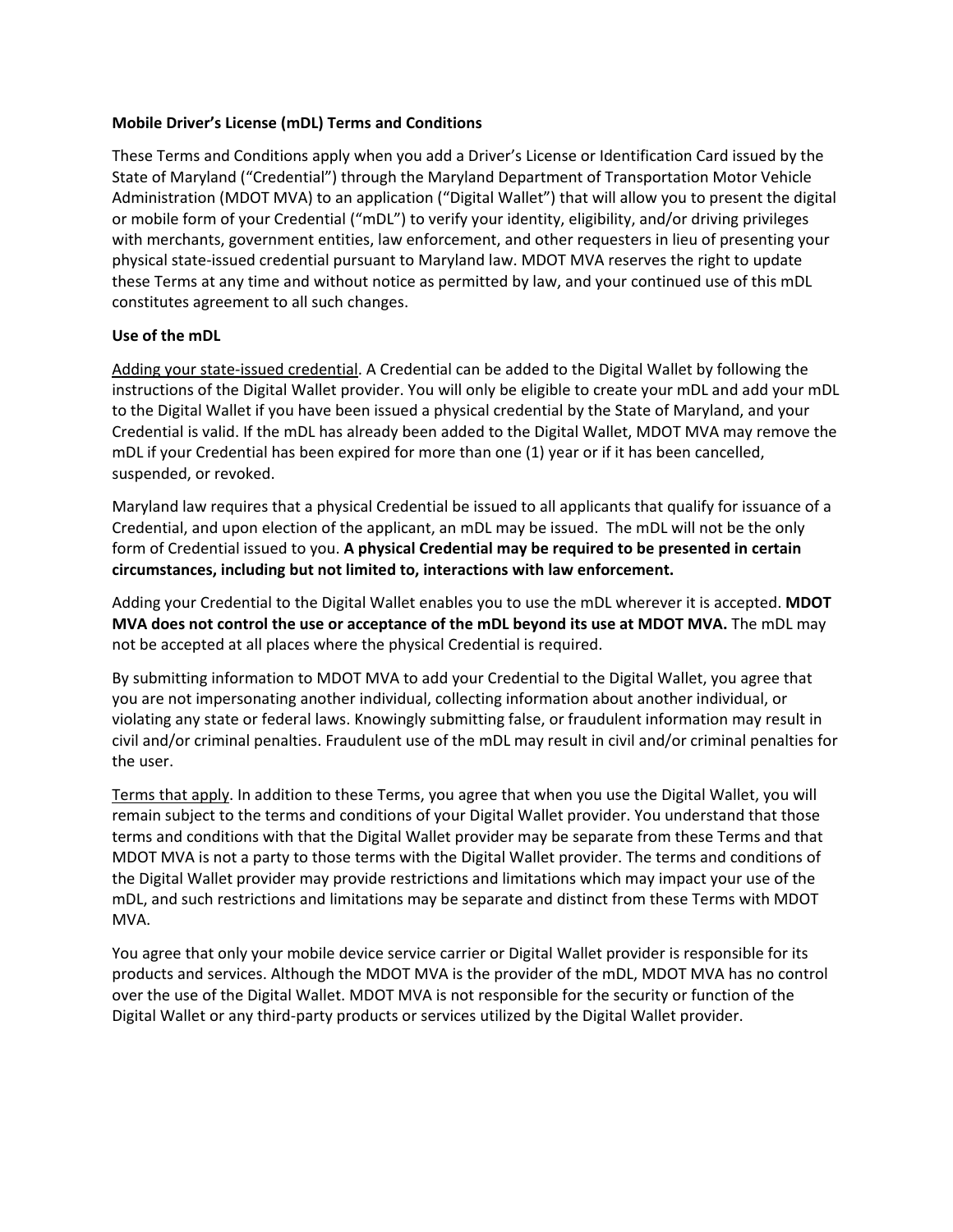## **Mobile Driver's License (mDL) Terms and Conditions**

These Terms and Conditions apply when you add a Driver's License or Identification Card issued by the State of Maryland ("Credential") through the Maryland Department of Transportation Motor Vehicle Administration (MDOT MVA) to an application ("Digital Wallet") that will allow you to present the digital or mobile form of your Credential ("mDL") to verify your identity, eligibility, and/or driving privileges with merchants, government entities, law enforcement, and other requesters in lieu of presenting your physical state-issued credential pursuant to Maryland law. MDOT MVA reserves the right to update these Terms at any time and without notice as permitted by law, and your continued use of this mDL constitutes agreement to all such changes.

### **Use of the mDL**

Adding your state-issued credential. A Credential can be added to the Digital Wallet by following the instructions of the Digital Wallet provider. You will only be eligible to create your mDL and add your mDL to the Digital Wallet if you have been issued a physical credential by the State of Maryland, and your Credential is valid. If the mDL has already been added to the Digital Wallet, MDOT MVA may remove the mDL if your Credential has been expired for more than one (1) year or if it has been cancelled, suspended, or revoked.

Maryland law requires that a physical Credential be issued to all applicants that qualify for issuance of a Credential, and upon election of the applicant, an mDL may be issued. The mDL will not be the only form of Credential issued to you. **A physical Credential may be required to be presented in certain circumstances, including but not limited to, interactions with law enforcement.**

Adding your Credential to the Digital Wallet enables you to use the mDL wherever it is accepted. **MDOT MVA does not control the use or acceptance of the mDL beyond its use at MDOT MVA.** The mDL may not be accepted at all places where the physical Credential is required.

By submitting information to MDOT MVA to add your Credential to the Digital Wallet, you agree that you are not impersonating another individual, collecting information about another individual, or violating any state or federal laws. Knowingly submitting false, or fraudulent information may result in civil and/or criminal penalties. Fraudulent use of the mDL may result in civil and/or criminal penalties for the user.

Terms that apply. In addition to these Terms, you agree that when you use the Digital Wallet, you will remain subject to the terms and conditions of your Digital Wallet provider. You understand that those terms and conditions with that the Digital Wallet provider may be separate from these Terms and that MDOT MVA is not a party to those terms with the Digital Wallet provider. The terms and conditions of the Digital Wallet provider may provide restrictions and limitations which may impact your use of the mDL, and such restrictions and limitations may be separate and distinct from these Terms with MDOT MVA.

You agree that only your mobile device service carrier or Digital Wallet provider is responsible for its products and services. Although the MDOT MVA is the provider of the mDL, MDOT MVA has no control over the use of the Digital Wallet. MDOT MVA is not responsible for the security or function of the Digital Wallet or any third-party products or services utilized by the Digital Wallet provider.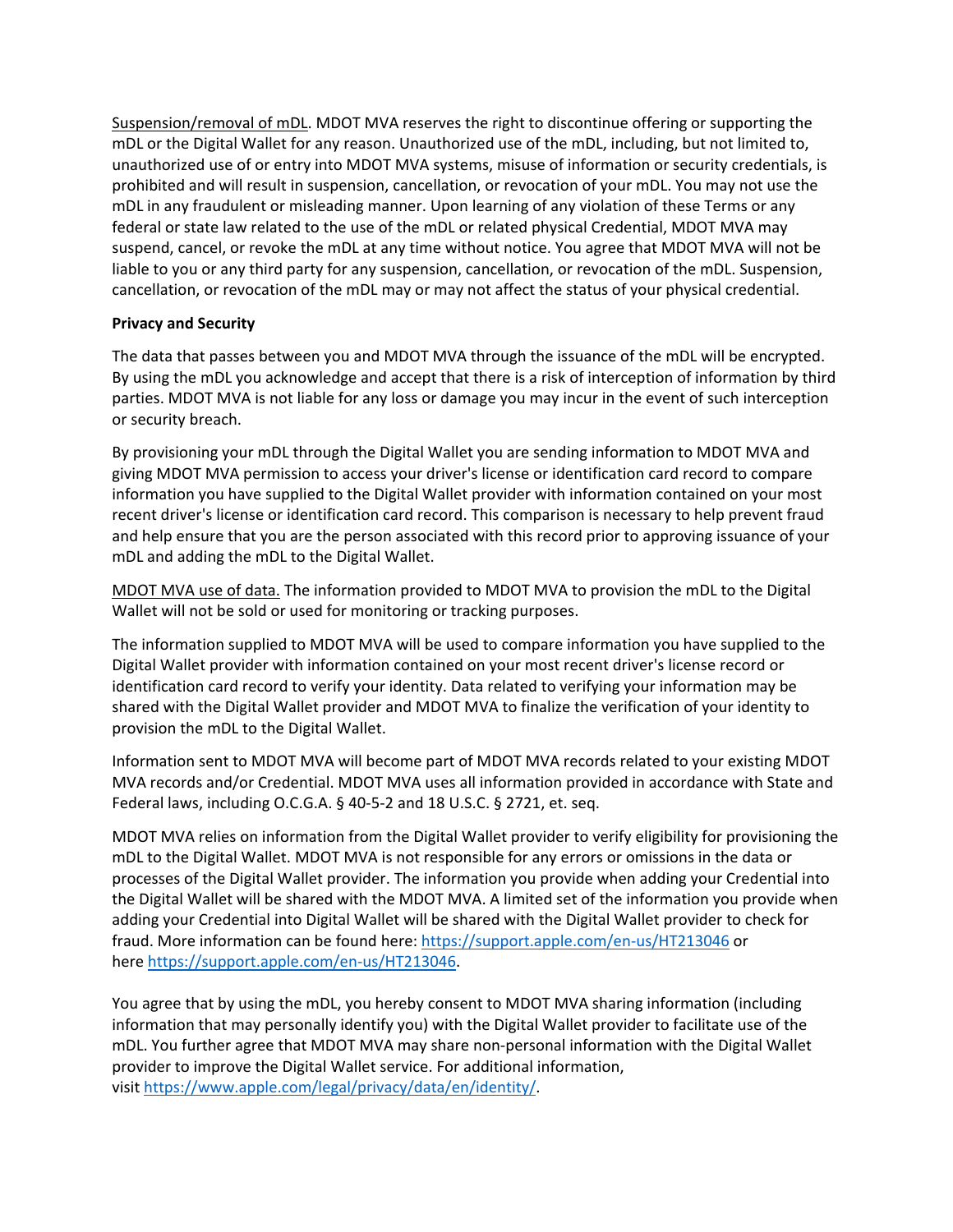Suspension/removal of mDL. MDOT MVA reserves the right to discontinue offering or supporting the mDL or the Digital Wallet for any reason. Unauthorized use of the mDL, including, but not limited to, unauthorized use of or entry into MDOT MVA systems, misuse of information or security credentials, is prohibited and will result in suspension, cancellation, or revocation of your mDL. You may not use the mDL in any fraudulent or misleading manner. Upon learning of any violation of these Terms or any federal or state law related to the use of the mDL or related physical Credential, MDOT MVA may suspend, cancel, or revoke the mDL at any time without notice. You agree that MDOT MVA will not be liable to you or any third party for any suspension, cancellation, or revocation of the mDL. Suspension, cancellation, or revocation of the mDL may or may not affect the status of your physical credential.

# **Privacy and Security**

The data that passes between you and MDOT MVA through the issuance of the mDL will be encrypted. By using the mDL you acknowledge and accept that there is a risk of interception of information by third parties. MDOT MVA is not liable for any loss or damage you may incur in the event of such interception or security breach.

By provisioning your mDL through the Digital Wallet you are sending information to MDOT MVA and giving MDOT MVA permission to access your driver's license or identification card record to compare information you have supplied to the Digital Wallet provider with information contained on your most recent driver's license or identification card record. This comparison is necessary to help prevent fraud and help ensure that you are the person associated with this record prior to approving issuance of your mDL and adding the mDL to the Digital Wallet.

MDOT MVA use of data. The information provided to MDOT MVA to provision the mDL to the Digital Wallet will not be sold or used for monitoring or tracking purposes.

The information supplied to MDOT MVA will be used to compare information you have supplied to the Digital Wallet provider with information contained on your most recent driver's license record or identification card record to verify your identity. Data related to verifying your information may be shared with the Digital Wallet provider and MDOT MVA to finalize the verification of your identity to provision the mDL to the Digital Wallet.

Information sent to MDOT MVA will become part of MDOT MVA records related to your existing MDOT MVA records and/or Credential. MDOT MVA uses all information provided in accordance with State and Federal laws, including O.C.G.A. § 40-5-2 and 18 U.S.C. § 2721, et. seq.

MDOT MVA relies on information from the Digital Wallet provider to verify eligibility for provisioning the mDL to the Digital Wallet. MDOT MVA is not responsible for any errors or omissions in the data or processes of the Digital Wallet provider. The information you provide when adding your Credential into the Digital Wallet will be shared with the MDOT MVA. A limited set of the information you provide when adding your Credential into Digital Wallet will be shared with the Digital Wallet provider to check for fraud. More information can be found here: <https://support.apple.com/en-us/HT213046> or here [https://support.apple.com/en-us/HT213046.](https://support.apple.com/en-us/HT213046)

You agree that by using the mDL, you hereby consent to MDOT MVA sharing information (including information that may personally identify you) with the Digital Wallet provider to facilitate use of the mDL. You further agree that MDOT MVA may share non-personal information with the Digital Wallet provider to improve the Digital Wallet service. For additional information, visi[t https://www.apple.com/legal/privacy/data/en/identity/.](https://www.apple.com/legal/privacy/data/en/identity/)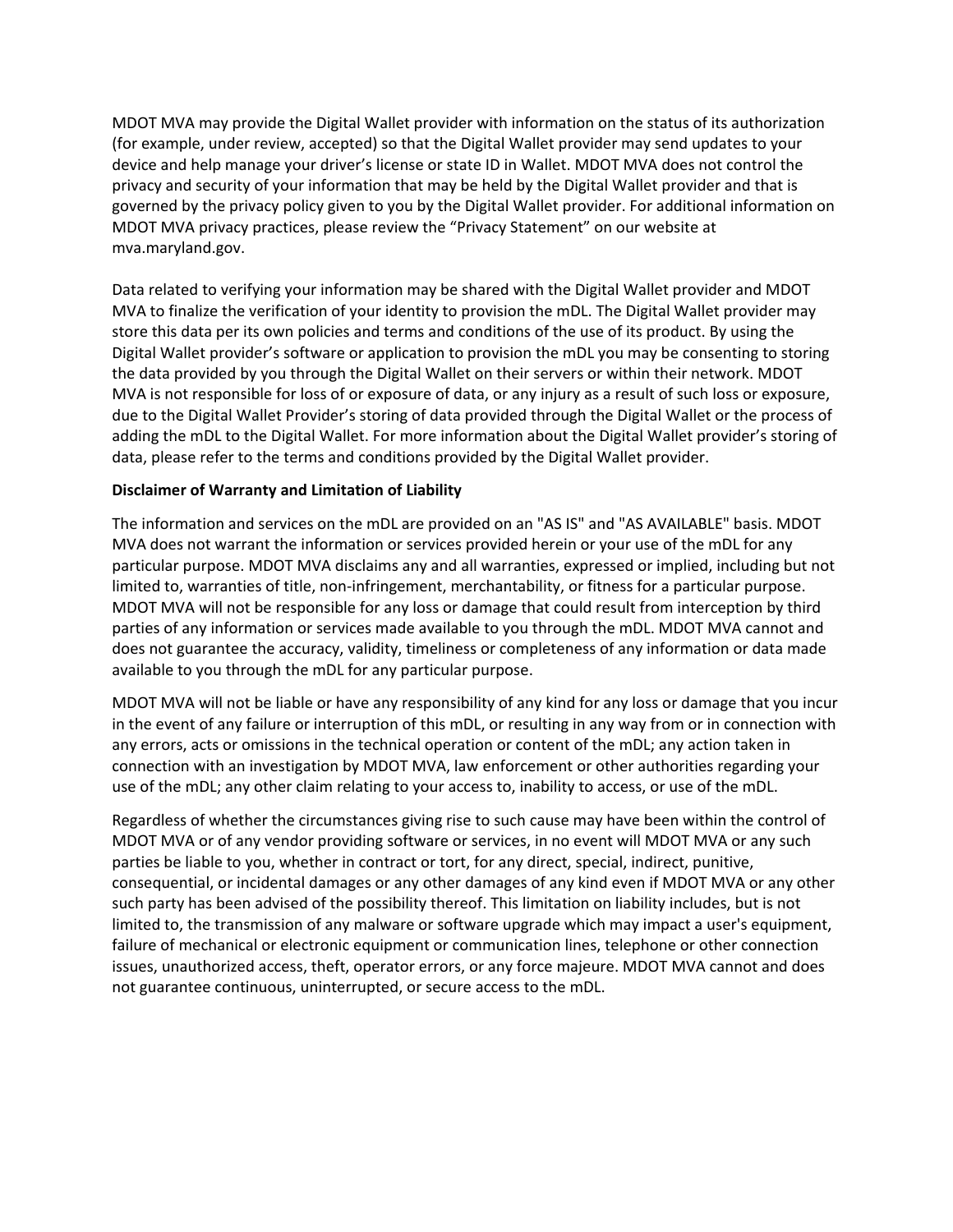MDOT MVA may provide the Digital Wallet provider with information on the status of its authorization (for example, under review, accepted) so that the Digital Wallet provider may send updates to your device and help manage your driver's license or state ID in Wallet. MDOT MVA does not control the privacy and security of your information that may be held by the Digital Wallet provider and that is governed by the privacy policy given to you by the Digital Wallet provider. For additional information on MDOT MVA privacy practices, please review the "Privacy Statement" on our website at mva.maryland.gov.

Data related to verifying your information may be shared with the Digital Wallet provider and MDOT MVA to finalize the verification of your identity to provision the mDL. The Digital Wallet provider may store this data per its own policies and terms and conditions of the use of its product. By using the Digital Wallet provider's software or application to provision the mDL you may be consenting to storing the data provided by you through the Digital Wallet on their servers or within their network. MDOT MVA is not responsible for loss of or exposure of data, or any injury as a result of such loss or exposure, due to the Digital Wallet Provider's storing of data provided through the Digital Wallet or the process of adding the mDL to the Digital Wallet. For more information about the Digital Wallet provider's storing of data, please refer to the terms and conditions provided by the Digital Wallet provider.

### **Disclaimer of Warranty and Limitation of Liability**

The information and services on the mDL are provided on an "AS IS" and "AS AVAILABLE" basis. MDOT MVA does not warrant the information or services provided herein or your use of the mDL for any particular purpose. MDOT MVA disclaims any and all warranties, expressed or implied, including but not limited to, warranties of title, non-infringement, merchantability, or fitness for a particular purpose. MDOT MVA will not be responsible for any loss or damage that could result from interception by third parties of any information or services made available to you through the mDL. MDOT MVA cannot and does not guarantee the accuracy, validity, timeliness or completeness of any information or data made available to you through the mDL for any particular purpose.

MDOT MVA will not be liable or have any responsibility of any kind for any loss or damage that you incur in the event of any failure or interruption of this mDL, or resulting in any way from or in connection with any errors, acts or omissions in the technical operation or content of the mDL; any action taken in connection with an investigation by MDOT MVA, law enforcement or other authorities regarding your use of the mDL; any other claim relating to your access to, inability to access, or use of the mDL.

Regardless of whether the circumstances giving rise to such cause may have been within the control of MDOT MVA or of any vendor providing software or services, in no event will MDOT MVA or any such parties be liable to you, whether in contract or tort, for any direct, special, indirect, punitive, consequential, or incidental damages or any other damages of any kind even if MDOT MVA or any other such party has been advised of the possibility thereof. This limitation on liability includes, but is not limited to, the transmission of any malware or software upgrade which may impact a user's equipment, failure of mechanical or electronic equipment or communication lines, telephone or other connection issues, unauthorized access, theft, operator errors, or any force majeure. MDOT MVA cannot and does not guarantee continuous, uninterrupted, or secure access to the mDL.